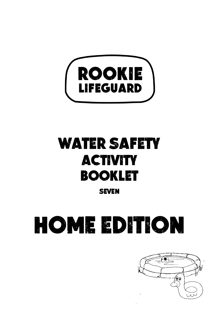

# WATER SAFETY ACTIVITY BOOKLET

**SEVEN** 

# home EDITION

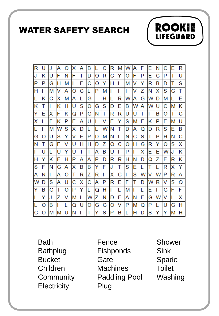WATER SAFETY SEARCH



**Bath** Bathplug Bucket Children **Community Electricity** 

Fence Fishponds **Gate Machines** Paddling Pool Plug

Shower Sink Spade Toilet **Washing** 

**ROOKIE** 

**LIFEGUARD**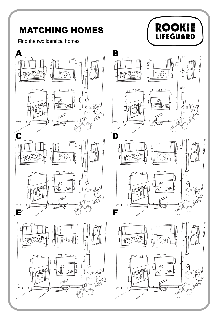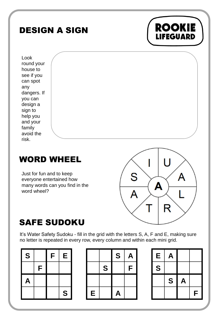## DESIGN A SIGN



Look round your house to see if you can spot any dangers. If you can design a sign to help you and your family avoid the risk.

### WORD WHEEL

Just for fun and to keep everyone entertained how many words can you find in the word wheel?



### SAFE SUDOKU

It's Water Safety Sudoku - fill in the grid with the letters S, A, F and E, making sure no letter is repeated in every row, every column and within each mini grid.

| S            |   | F | E |
|--------------|---|---|---|
|              | F |   |   |
| $\mathsf{A}$ |   |   |   |
|              |   |   | S |



| Е | Α |   |   |
|---|---|---|---|
| S |   |   |   |
|   | S | A |   |
|   |   |   | F |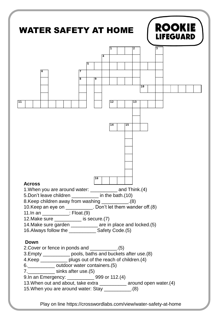

Play on line https://crosswordlabs.com/view/water-safety-at-home